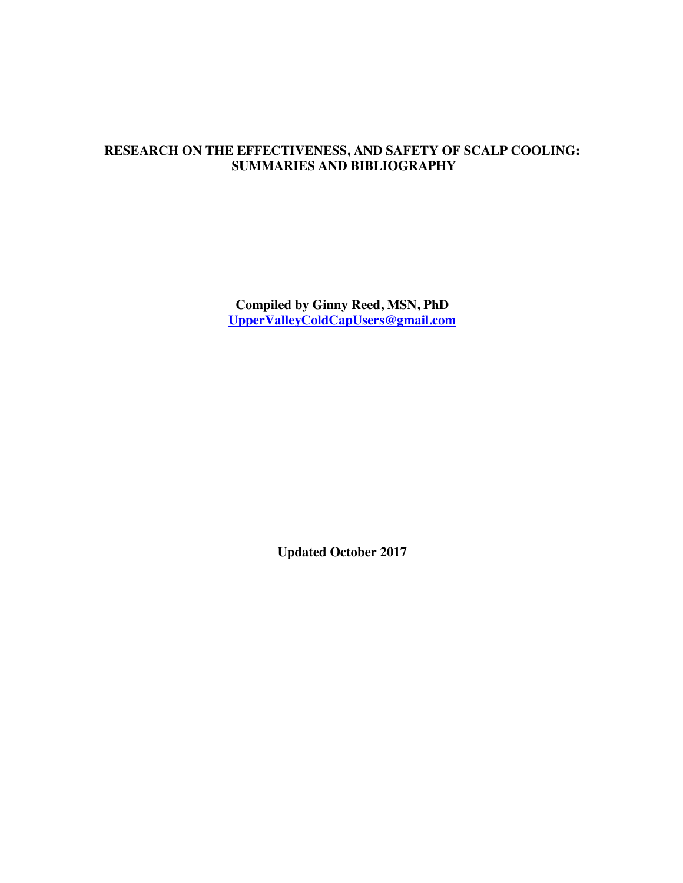# **RESEARCH ON THE EFFECTIVENESS, AND SAFETY OF SCALP COOLING: SUMMARIES AND BIBLIOGRAPHY**

**Compiled by Ginny Reed, MSN, PhD UpperValleyColdCapUsers@gmail.com**

**Updated October 2017**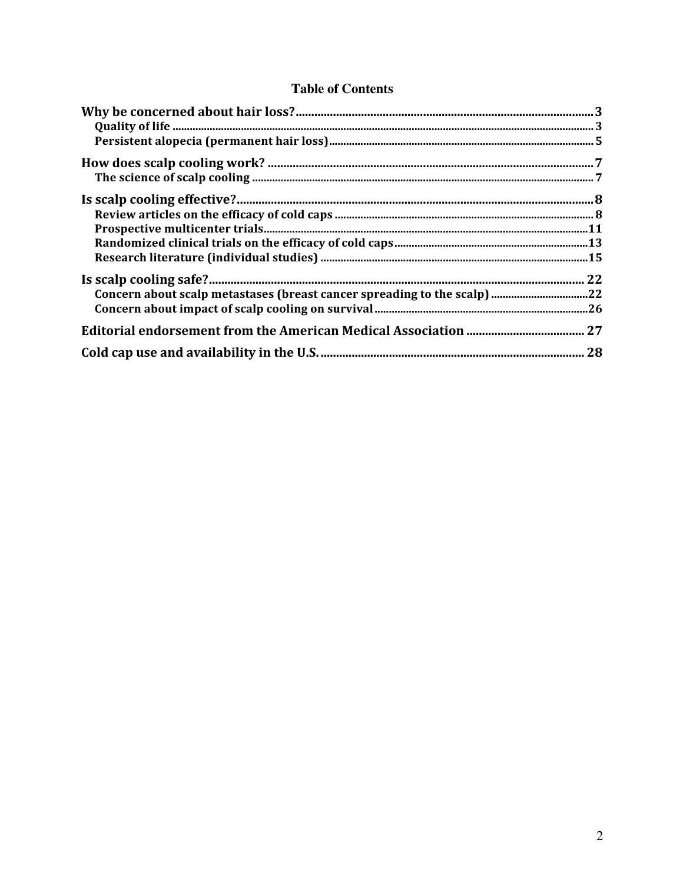# **Table of Contents**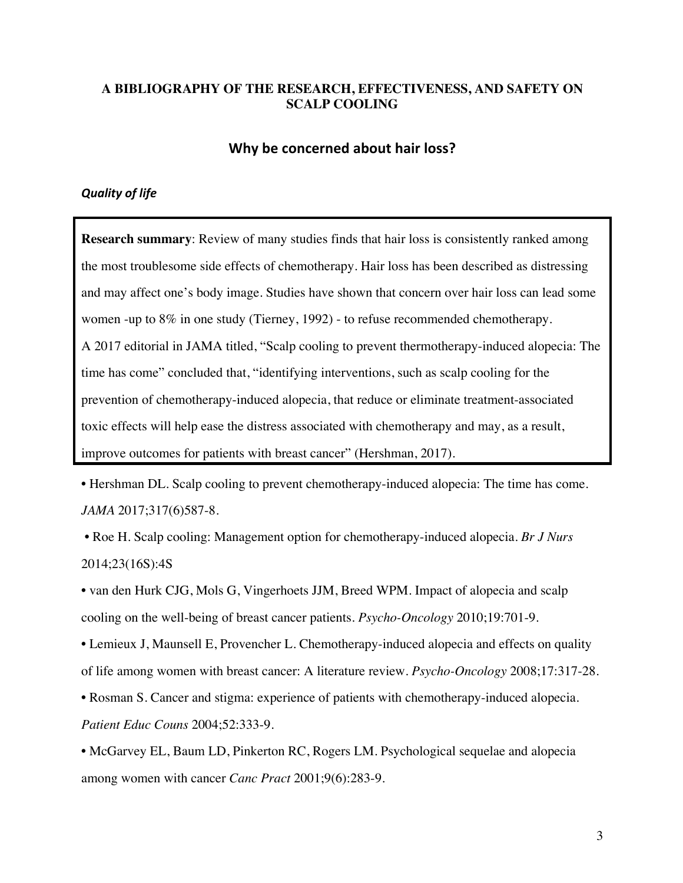## **A BIBLIOGRAPHY OF THE RESEARCH, EFFECTIVENESS, AND SAFETY ON SCALP COOLING**

### **Why be concerned about hair loss?**

### *Quality of life*

**Research summary**: Review of many studies finds that hair loss is consistently ranked among the most troublesome side effects of chemotherapy. Hair loss has been described as distressing and may affect one's body image. Studies have shown that concern over hair loss can lead some women -up to 8% in one study (Tierney, 1992) - to refuse recommended chemotherapy. A 2017 editorial in JAMA titled, "Scalp cooling to prevent thermotherapy-induced alopecia: The time has come" concluded that, "identifying interventions, such as scalp cooling for the prevention of chemotherapy-induced alopecia, that reduce or eliminate treatment-associated toxic effects will help ease the distress associated with chemotherapy and may, as a result, improve outcomes for patients with breast cancer" (Hershman, 2017).

• Hershman DL. Scalp cooling to prevent chemotherapy-induced alopecia: The time has come. *JAMA* 2017;317(6)587-8.

• Roe H. Scalp cooling: Management option for chemotherapy-induced alopecia. *Br J Nurs*  2014;23(16S):4S

• van den Hurk CJG, Mols G, Vingerhoets JJM, Breed WPM. Impact of alopecia and scalp cooling on the well-being of breast cancer patients. *Psycho-Oncology* 2010;19:701-9.

• Lemieux J, Maunsell E, Provencher L. Chemotherapy-induced alopecia and effects on quality of life among women with breast cancer: A literature review. *Psycho-Oncology* 2008;17:317-28.

• Rosman S. Cancer and stigma: experience of patients with chemotherapy-induced alopecia. *Patient Educ Couns* 2004;52:333-9.

• McGarvey EL, Baum LD, Pinkerton RC, Rogers LM. Psychological sequelae and alopecia among women with cancer *Canc Pract* 2001;9(6):283-9.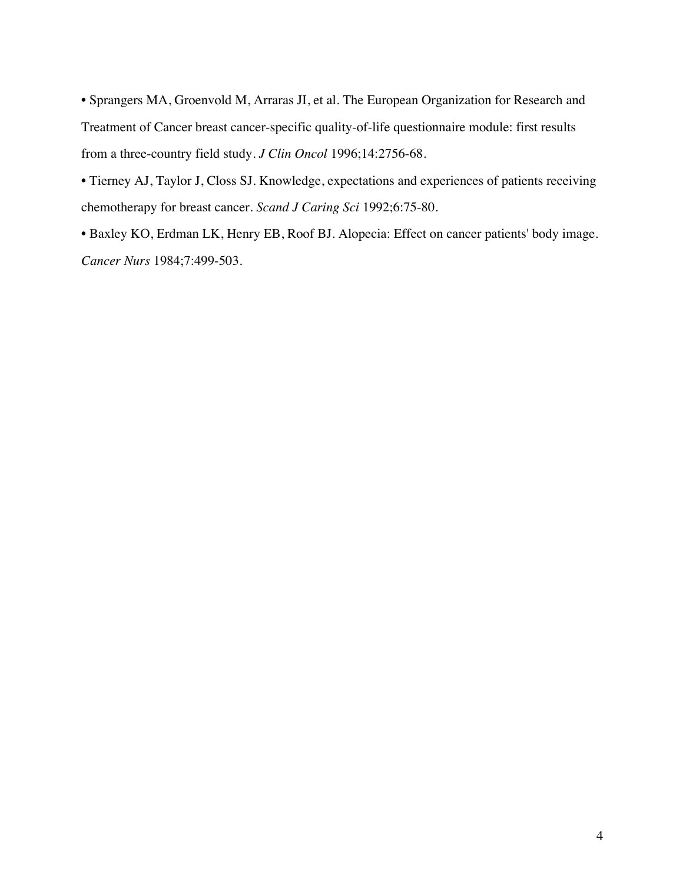• Sprangers MA, Groenvold M, Arraras JI, et al. The European Organization for Research and Treatment of Cancer breast cancer-specific quality-of-life questionnaire module: first results from a three-country field study. *J Clin Oncol* 1996;14:2756-68.

• Tierney AJ, Taylor J, Closs SJ. Knowledge, expectations and experiences of patients receiving chemotherapy for breast cancer. *Scand J Caring Sci* 1992;6:75-80.

• Baxley KO, Erdman LK, Henry EB, Roof BJ. Alopecia: Effect on cancer patients' body image. *Cancer Nurs* 1984;7:499-503.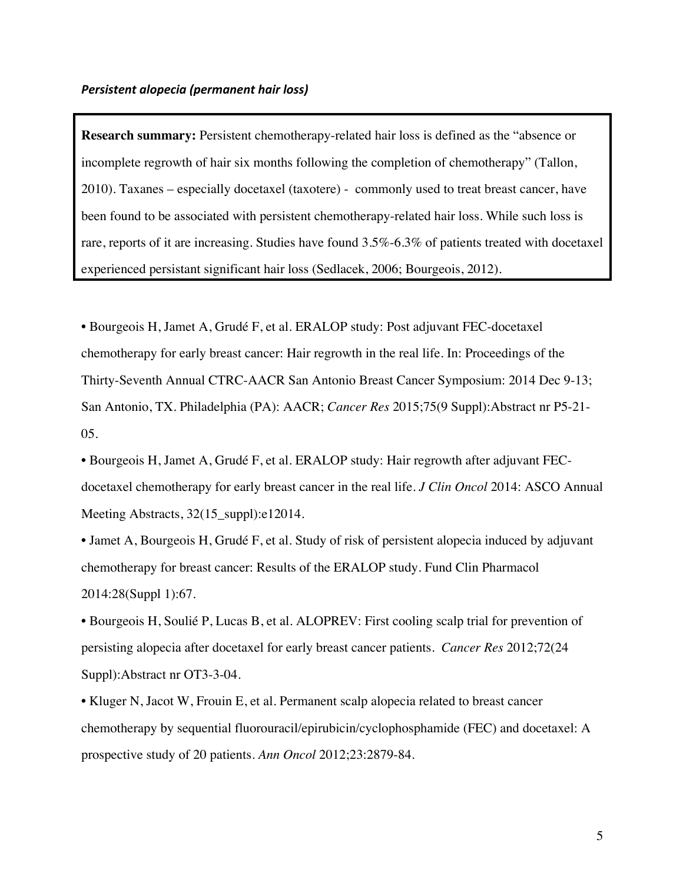**Research summary:** Persistent chemotherapy-related hair loss is defined as the "absence or incomplete regrowth of hair six months following the completion of chemotherapy" (Tallon, 2010). Taxanes – especially docetaxel (taxotere) - commonly used to treat breast cancer, have been found to be associated with persistent chemotherapy-related hair loss. While such loss is rare, reports of it are increasing. Studies have found 3.5%-6.3% of patients treated with docetaxel experienced persistant significant hair loss (Sedlacek, 2006; Bourgeois, 2012).

• Bourgeois H, Jamet A, Grudé F, et al. ERALOP study: Post adjuvant FEC-docetaxel chemotherapy for early breast cancer: Hair regrowth in the real life. In: Proceedings of the Thirty-Seventh Annual CTRC-AACR San Antonio Breast Cancer Symposium: 2014 Dec 9-13; San Antonio, TX. Philadelphia (PA): AACR; *Cancer Res* 2015;75(9 Suppl):Abstract nr P5-21- 05.

• Bourgeois H, Jamet A, Grudé F, et al. ERALOP study: Hair regrowth after adjuvant FECdocetaxel chemotherapy for early breast cancer in the real life. *J Clin Oncol* 2014: ASCO Annual Meeting Abstracts, 32(15\_suppl):e12014.

• Jamet A, Bourgeois H, Grudé F, et al. Study of risk of persistent alopecia induced by adjuvant chemotherapy for breast cancer: Results of the ERALOP study. Fund Clin Pharmacol 2014:28(Suppl 1):67.

• Bourgeois H, Soulié P, Lucas B, et al. ALOPREV: First cooling scalp trial for prevention of persisting alopecia after docetaxel for early breast cancer patients. *Cancer Res* 2012;72(24 Suppl):Abstract nr OT3-3-04.

• Kluger N, Jacot W, Frouin E, et al. Permanent scalp alopecia related to breast cancer chemotherapy by sequential fluorouracil/epirubicin/cyclophosphamide (FEC) and docetaxel: A prospective study of 20 patients. *Ann Oncol* 2012;23:2879-84.

5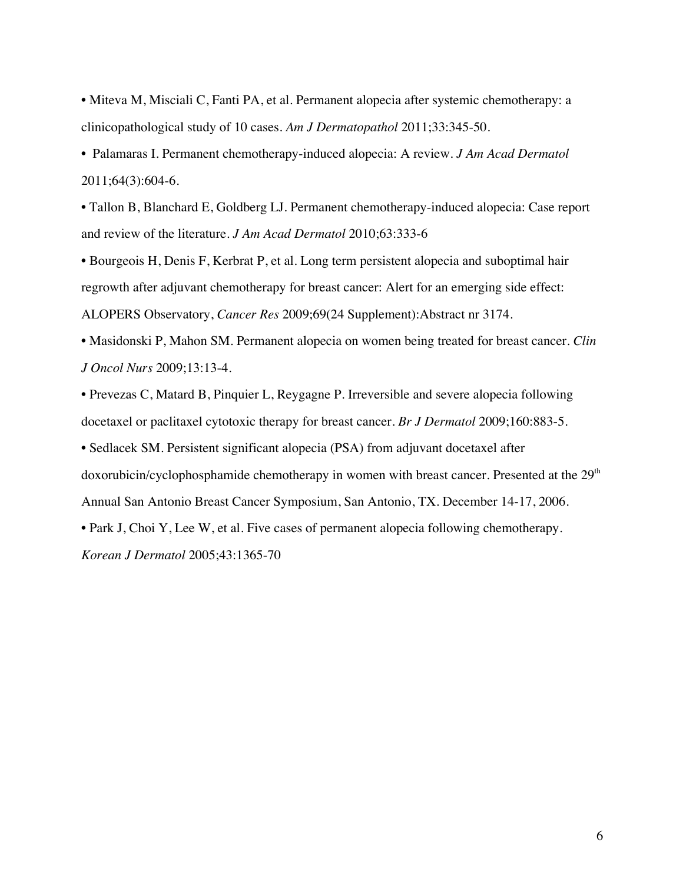• Miteva M, Misciali C, Fanti PA, et al. Permanent alopecia after systemic chemotherapy: a clinicopathological study of 10 cases. *Am J Dermatopathol* 2011;33:345-50.

• Palamaras I. Permanent chemotherapy-induced alopecia: A review. *J Am Acad Dermatol* 2011;64(3):604-6.

• Tallon B, Blanchard E, Goldberg LJ. Permanent chemotherapy-induced alopecia: Case report and review of the literature. *J Am Acad Dermatol* 2010;63:333-6

• Bourgeois H, Denis F, Kerbrat P, et al. Long term persistent alopecia and suboptimal hair regrowth after adjuvant chemotherapy for breast cancer: Alert for an emerging side effect: ALOPERS Observatory, *Cancer Res* 2009;69(24 Supplement):Abstract nr 3174.

• Masidonski P, Mahon SM. Permanent alopecia on women being treated for breast cancer. *Clin J Oncol Nurs* 2009;13:13-4.

• Prevezas C, Matard B, Pinquier L, Reygagne P. Irreversible and severe alopecia following docetaxel or paclitaxel cytotoxic therapy for breast cancer. *Br J Dermatol* 2009;160:883-5.

• Sedlacek SM. Persistent significant alopecia (PSA) from adjuvant docetaxel after doxorubicin/cyclophosphamide chemotherapy in women with breast cancer. Presented at the 29<sup>th</sup> Annual San Antonio Breast Cancer Symposium, San Antonio, TX. December 14-17, 2006.

• Park J, Choi Y, Lee W, et al. Five cases of permanent alopecia following chemotherapy.

*Korean J Dermatol* 2005;43:1365-70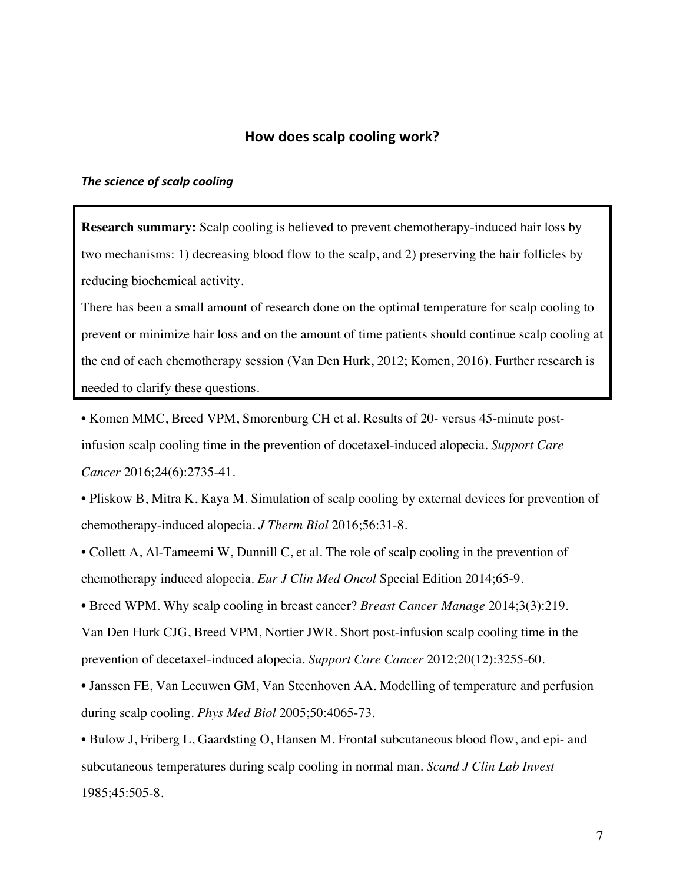### How does scalp cooling work?

#### **The science of scalp cooling**

**Research summary:** Scalp cooling is believed to prevent chemotherapy-induced hair loss by two mechanisms: 1) decreasing blood flow to the scalp, and 2) preserving the hair follicles by reducing biochemical activity.

There has been a small amount of research done on the optimal temperature for scalp cooling to prevent or minimize hair loss and on the amount of time patients should continue scalp cooling at the end of each chemotherapy session (Van Den Hurk, 2012; Komen, 2016). Further research is needed to clarify these questions.

• Komen MMC, Breed VPM, Smorenburg CH et al. Results of 20- versus 45-minute postinfusion scalp cooling time in the prevention of docetaxel-induced alopecia. *Support Care Cancer* 2016;24(6):2735-41.

• Pliskow B, Mitra K, Kaya M. Simulation of scalp cooling by external devices for prevention of chemotherapy-induced alopecia. *J Therm Biol* 2016;56:31-8.

• Collett A, Al-Tameemi W, Dunnill C, et al. The role of scalp cooling in the prevention of chemotherapy induced alopecia. *Eur J Clin Med Oncol* Special Edition 2014;65-9.

• Breed WPM. Why scalp cooling in breast cancer? *Breast Cancer Manage* 2014;3(3):219.

Van Den Hurk CJG, Breed VPM, Nortier JWR. Short post-infusion scalp cooling time in the prevention of decetaxel-induced alopecia. *Support Care Cancer* 2012;20(12):3255-60.

• Janssen FE, Van Leeuwen GM, Van Steenhoven AA. Modelling of temperature and perfusion during scalp cooling. *Phys Med Biol* 2005;50:4065-73.

• Bulow J, Friberg L, Gaardsting O, Hansen M. Frontal subcutaneous blood flow, and epi- and subcutaneous temperatures during scalp cooling in normal man. *Scand J Clin Lab Invest* 1985;45:505-8.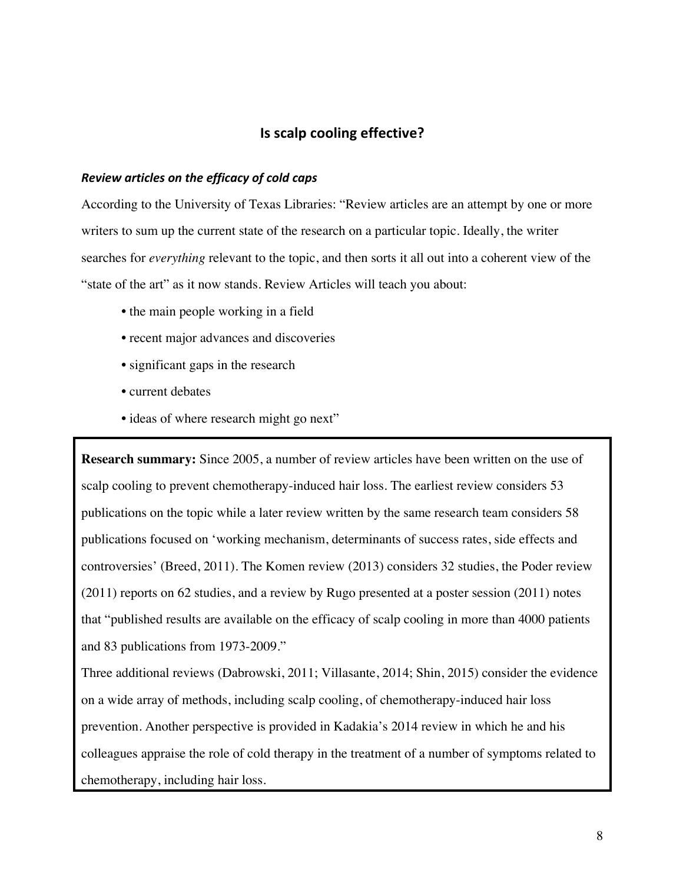## **Is scalp cooling effective?**

#### *Review articles on the efficacy of cold caps*

According to the University of Texas Libraries: "Review articles are an attempt by one or more writers to sum up the current state of the research on a particular topic. Ideally, the writer searches for *everything* relevant to the topic, and then sorts it all out into a coherent view of the "state of the art" as it now stands. Review Articles will teach you about:

- the main people working in a field
- recent major advances and discoveries
- significant gaps in the research
- current debates
- ideas of where research might go next"

**Research summary:** Since 2005, a number of review articles have been written on the use of scalp cooling to prevent chemotherapy-induced hair loss. The earliest review considers 53 publications on the topic while a later review written by the same research team considers 58 publications focused on 'working mechanism, determinants of success rates, side effects and controversies' (Breed, 2011). The Komen review (2013) considers 32 studies, the Poder review (2011) reports on 62 studies, and a review by Rugo presented at a poster session (2011) notes that "published results are available on the efficacy of scalp cooling in more than 4000 patients and 83 publications from 1973-2009."

Three additional reviews (Dabrowski, 2011; Villasante, 2014; Shin, 2015) consider the evidence on a wide array of methods, including scalp cooling, of chemotherapy-induced hair loss prevention. Another perspective is provided in Kadakia's 2014 review in which he and his colleagues appraise the role of cold therapy in the treatment of a number of symptoms related to chemotherapy, including hair loss.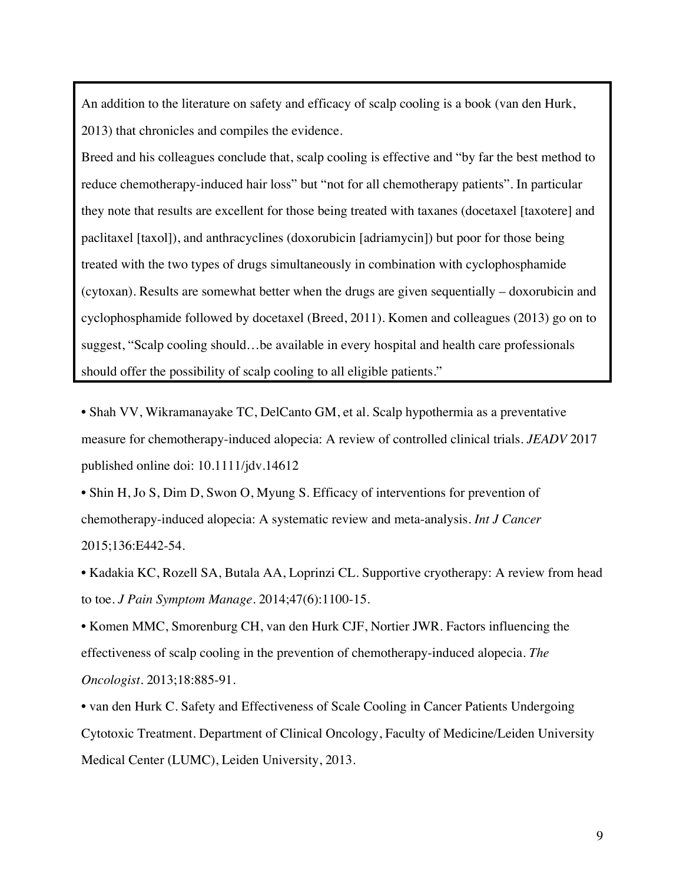An addition to the literature on safety and efficacy of scalp cooling is a book (van den Hurk, 2013) that chronicles and compiles the evidence.

Breed and his colleagues conclude that, scalp cooling is effective and "by far the best method to reduce chemotherapy-induced hair loss" but "not for all chemotherapy patients". In particular they note that results are excellent for those being treated with taxanes (docetaxel [taxotere] and paclitaxel [taxol]), and anthracyclines (doxorubicin [adriamycin]) but poor for those being treated with the two types of drugs simultaneously in combination with cyclophosphamide (cytoxan). Results are somewhat better when the drugs are given sequentially – doxorubicin and cyclophosphamide followed by docetaxel (Breed, 2011). Komen and colleagues (2013) go on to suggest, "Scalp cooling should…be available in every hospital and health care professionals should offer the possibility of scalp cooling to all eligible patients."

• Shah VV, Wikramanayake TC, DelCanto GM, et al. Scalp hypothermia as a preventative measure for chemotherapy-induced alopecia: A review of controlled clinical trials. *JEADV* 2017 published online doi: 10.1111/jdv.14612

• Shin H, Jo S, Dim D, Swon O, Myung S. Efficacy of interventions for prevention of chemotherapy-induced alopecia: A systematic review and meta-analysis. *Int J Cancer*  2015;136:E442-54.

• Kadakia KC, Rozell SA, Butala AA, Loprinzi CL. Supportive cryotherapy: A review from head to toe. *J Pain Symptom Manage*. 2014;47(6):1100-15.

• Komen MMC, Smorenburg CH, van den Hurk CJF, Nortier JWR. Factors influencing the effectiveness of scalp cooling in the prevention of chemotherapy-induced alopecia. *The Oncologist.* 2013;18:885-91.

• van den Hurk C. Safety and Effectiveness of Scale Cooling in Cancer Patients Undergoing Cytotoxic Treatment. Department of Clinical Oncology, Faculty of Medicine/Leiden University Medical Center (LUMC), Leiden University, 2013.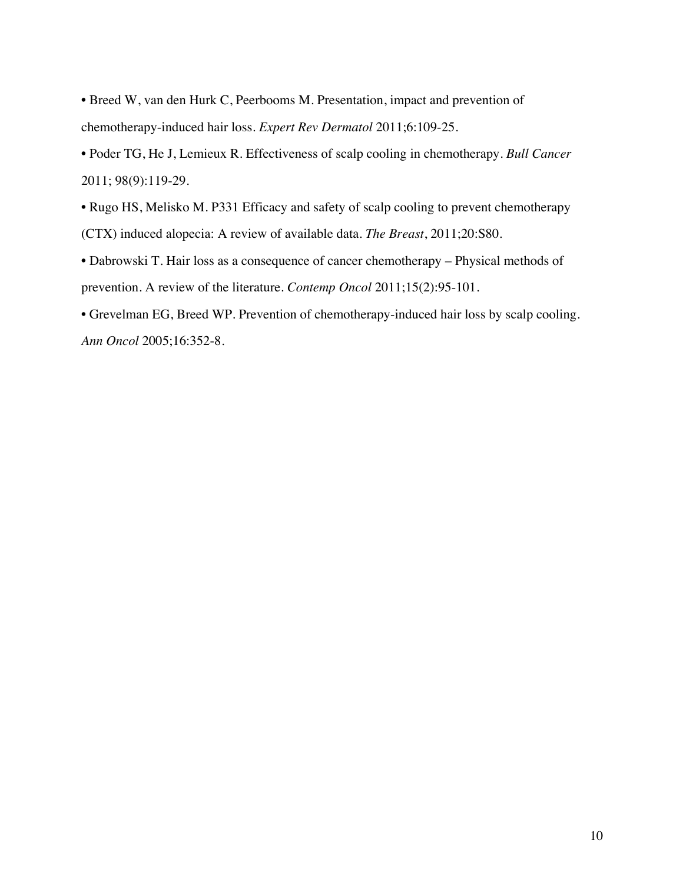• Breed W, van den Hurk C, Peerbooms M. Presentation, impact and prevention of chemotherapy-induced hair loss. *Expert Rev Dermatol* 2011;6:109-25.

• Poder TG, He J, Lemieux R. Effectiveness of scalp cooling in chemotherapy. *Bull Cancer* 2011; 98(9):119-29.

• Rugo HS, Melisko M. P331 Efficacy and safety of scalp cooling to prevent chemotherapy (CTX) induced alopecia: A review of available data. *The Breast*, 2011;20:S80.

• Dabrowski T. Hair loss as a consequence of cancer chemotherapy – Physical methods of prevention. A review of the literature. *Contemp Oncol* 2011;15(2):95-101.

• Grevelman EG, Breed WP. Prevention of chemotherapy-induced hair loss by scalp cooling. *Ann Oncol* 2005;16:352-8.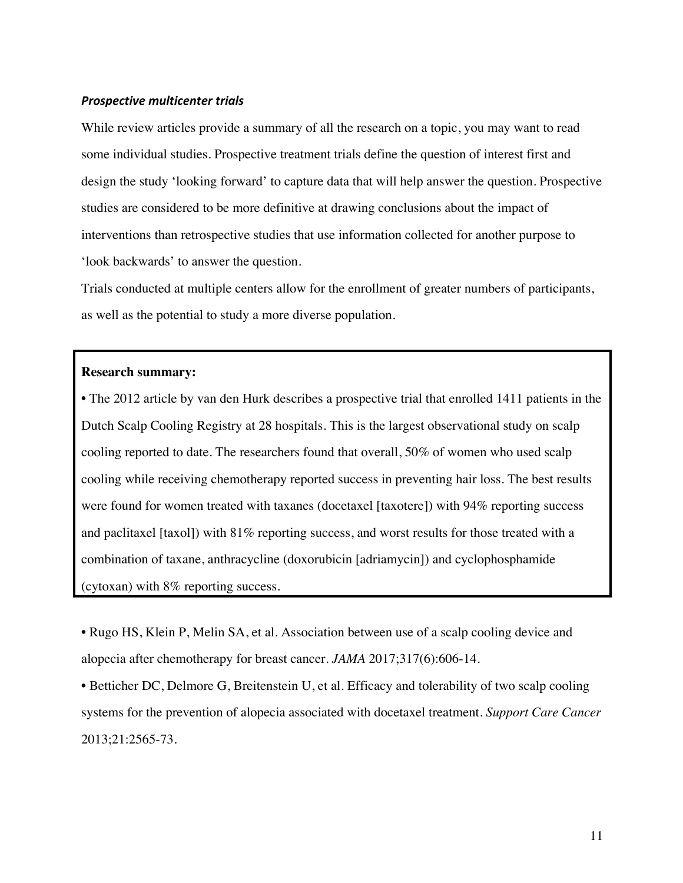#### *Prospective multicenter trials*

While review articles provide a summary of all the research on a topic, you may want to read some individual studies. Prospective treatment trials define the question of interest first and design the study 'looking forward' to capture data that will help answer the question. Prospective studies are considered to be more definitive at drawing conclusions about the impact of interventions than retrospective studies that use information collected for another purpose to 'look backwards' to answer the question.

Trials conducted at multiple centers allow for the enrollment of greater numbers of participants, as well as the potential to study a more diverse population.

#### **Research summary:**

**•** The 2012 article by van den Hurk describes a prospective trial that enrolled 1411 patients in the Dutch Scalp Cooling Registry at 28 hospitals. This is the largest observational study on scalp cooling reported to date. The researchers found that overall, 50% of women who used scalp cooling while receiving chemotherapy reported success in preventing hair loss. The best results were found for women treated with taxanes (docetaxel [taxotere]) with 94% reporting success and paclitaxel [taxol]) with 81% reporting success, and worst results for those treated with a combination of taxane, anthracycline (doxorubicin [adriamycin]) and cyclophosphamide (cytoxan) with 8% reporting success.

• Rugo HS, Klein P, Melin SA, et al. Association between use of a scalp cooling device and alopecia after chemotherapy for breast cancer. *JAMA* 2017;317(6):606-14.

• Betticher DC, Delmore G, Breitenstein U, et al. Efficacy and tolerability of two scalp cooling systems for the prevention of alopecia associated with docetaxel treatment. *Support Care Cancer* 2013;21:2565-73.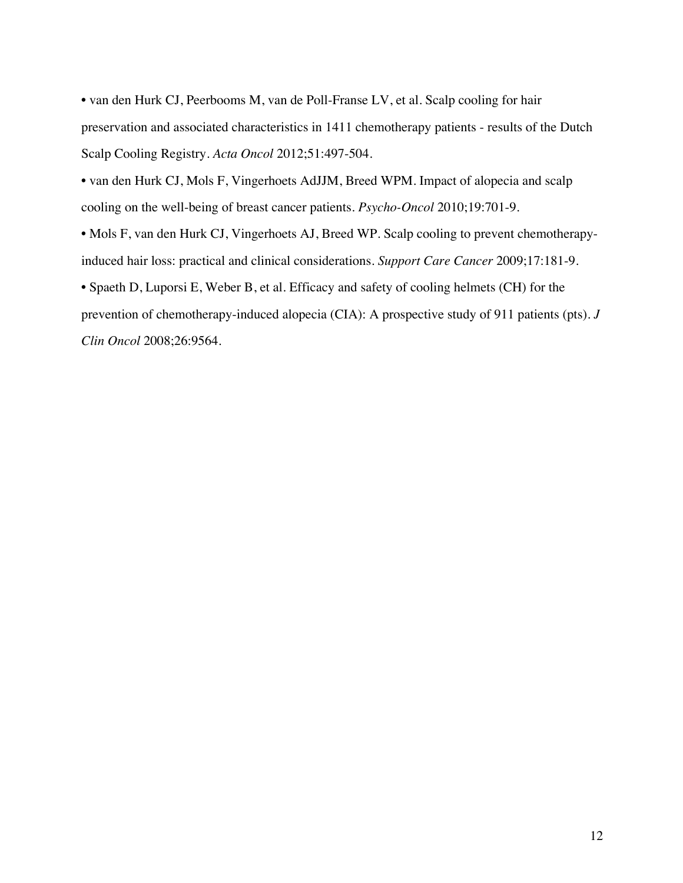• van den Hurk CJ, Peerbooms M, van de Poll-Franse LV, et al. Scalp cooling for hair preservation and associated characteristics in 1411 chemotherapy patients - results of the Dutch Scalp Cooling Registry. *Acta Oncol* 2012;51:497-504.

• van den Hurk CJ, Mols F, Vingerhoets AdJJM, Breed WPM. Impact of alopecia and scalp cooling on the well-being of breast cancer patients. *Psycho-Oncol* 2010;19:701-9.

• Mols F, van den Hurk CJ, Vingerhoets AJ, Breed WP. Scalp cooling to prevent chemotherapyinduced hair loss: practical and clinical considerations. *Support Care Cancer* 2009;17:181-9.

• Spaeth D, Luporsi E, Weber B, et al. Efficacy and safety of cooling helmets (CH) for the prevention of chemotherapy-induced alopecia (CIA): A prospective study of 911 patients (pts). *J Clin Oncol* 2008;26:9564.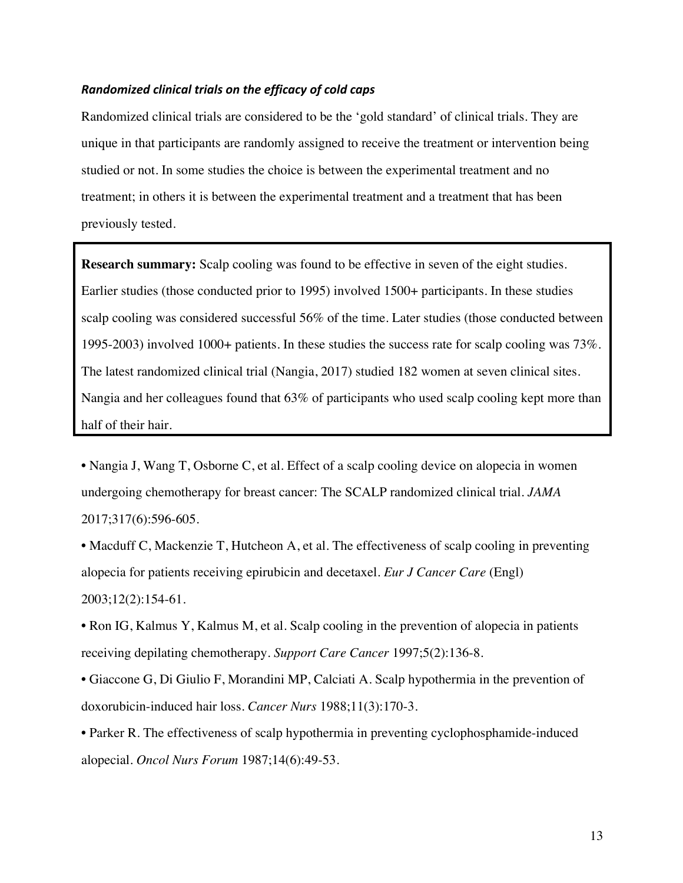#### *Randomized clinical trials on the efficacy of cold caps*

Randomized clinical trials are considered to be the 'gold standard' of clinical trials. They are unique in that participants are randomly assigned to receive the treatment or intervention being studied or not. In some studies the choice is between the experimental treatment and no treatment; in others it is between the experimental treatment and a treatment that has been previously tested.

**Research summary:** Scalp cooling was found to be effective in seven of the eight studies. Earlier studies (those conducted prior to 1995) involved 1500+ participants. In these studies scalp cooling was considered successful 56% of the time. Later studies (those conducted between 1995-2003) involved 1000+ patients. In these studies the success rate for scalp cooling was 73%. The latest randomized clinical trial (Nangia, 2017) studied 182 women at seven clinical sites. Nangia and her colleagues found that 63% of participants who used scalp cooling kept more than half of their hair.

• Nangia J, Wang T, Osborne C, et al. Effect of a scalp cooling device on alopecia in women undergoing chemotherapy for breast cancer: The SCALP randomized clinical trial. *JAMA* 2017;317(6):596-605.

• Macduff C, Mackenzie T, Hutcheon A, et al. The effectiveness of scalp cooling in preventing alopecia for patients receiving epirubicin and decetaxel. *Eur J Cancer Care* (Engl) 2003;12(2):154-61.

• Ron IG, Kalmus Y, Kalmus M, et al. Scalp cooling in the prevention of alopecia in patients receiving depilating chemotherapy. *Support Care Cancer* 1997;5(2):136-8.

• Giaccone G, Di Giulio F, Morandini MP, Calciati A. Scalp hypothermia in the prevention of doxorubicin-induced hair loss. *Cancer Nurs* 1988;11(3):170-3.

• Parker R. The effectiveness of scalp hypothermia in preventing cyclophosphamide-induced alopecial. *Oncol Nurs Forum* 1987;14(6):49-53.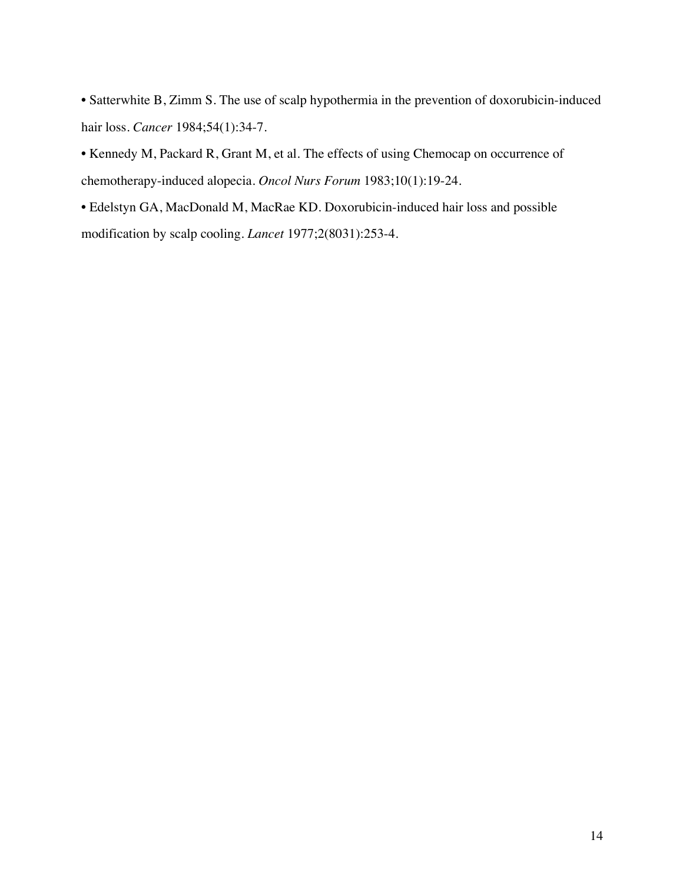• Satterwhite B, Zimm S. The use of scalp hypothermia in the prevention of doxorubicin-induced hair loss. *Cancer* 1984;54(1):34-7.

• Kennedy M, Packard R, Grant M, et al. The effects of using Chemocap on occurrence of chemotherapy-induced alopecia. *Oncol Nurs Forum* 1983;10(1):19-24.

• Edelstyn GA, MacDonald M, MacRae KD. Doxorubicin-induced hair loss and possible modification by scalp cooling. *Lancet* 1977;2(8031):253-4.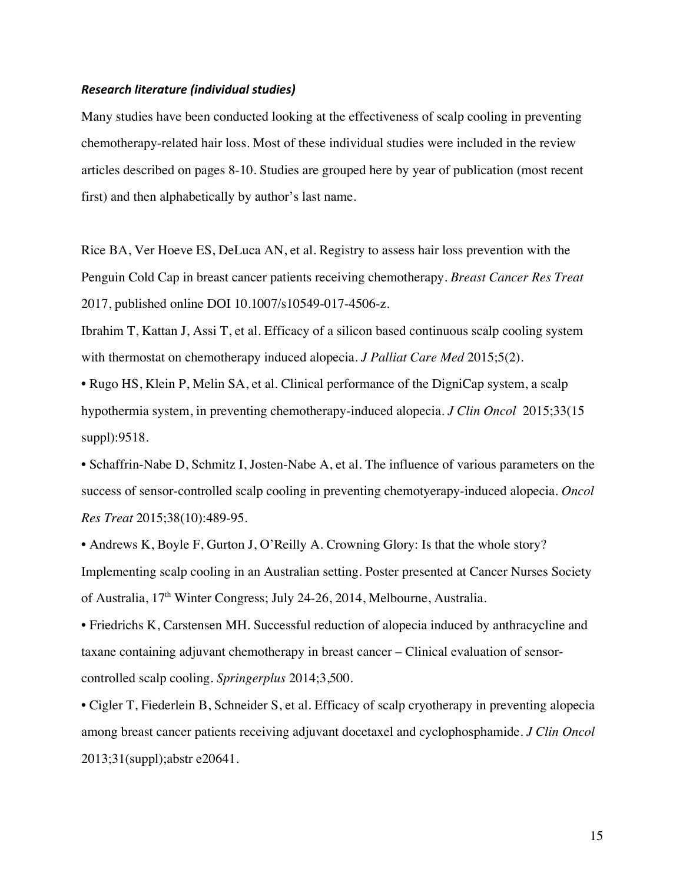#### *Research literature (individual studies)*

Many studies have been conducted looking at the effectiveness of scalp cooling in preventing chemotherapy-related hair loss. Most of these individual studies were included in the review articles described on pages 8-10. Studies are grouped here by year of publication (most recent first) and then alphabetically by author's last name.

Rice BA, Ver Hoeve ES, DeLuca AN, et al. Registry to assess hair loss prevention with the Penguin Cold Cap in breast cancer patients receiving chemotherapy. *Breast Cancer Res Treat* 2017, published online DOI 10.1007/s10549-017-4506-z.

Ibrahim T, Kattan J, Assi T, et al. Efficacy of a silicon based continuous scalp cooling system with thermostat on chemotherapy induced alopecia. *J Palliat Care Med* 2015;5(2).

• Rugo HS, Klein P, Melin SA, et al. Clinical performance of the DigniCap system, a scalp hypothermia system, in preventing chemotherapy-induced alopecia. *J Clin Oncol* 2015;33(15 suppl):9518.

• Schaffrin-Nabe D, Schmitz I, Josten-Nabe A, et al. The influence of various parameters on the success of sensor-controlled scalp cooling in preventing chemotyerapy-induced alopecia. *Oncol Res Treat* 2015;38(10):489-95.

• Andrews K, Boyle F, Gurton J, O'Reilly A. Crowning Glory: Is that the whole story? Implementing scalp cooling in an Australian setting. Poster presented at Cancer Nurses Society of Australia, 17<sup>th</sup> Winter Congress; July 24-26, 2014, Melbourne, Australia.

• Friedrichs K, Carstensen MH. Successful reduction of alopecia induced by anthracycline and taxane containing adjuvant chemotherapy in breast cancer – Clinical evaluation of sensorcontrolled scalp cooling. *Springerplus* 2014;3,500.

• Cigler T, Fiederlein B, Schneider S, et al. Efficacy of scalp cryotherapy in preventing alopecia among breast cancer patients receiving adjuvant docetaxel and cyclophosphamide. *J Clin Oncol* 2013;31(suppl);abstr e20641.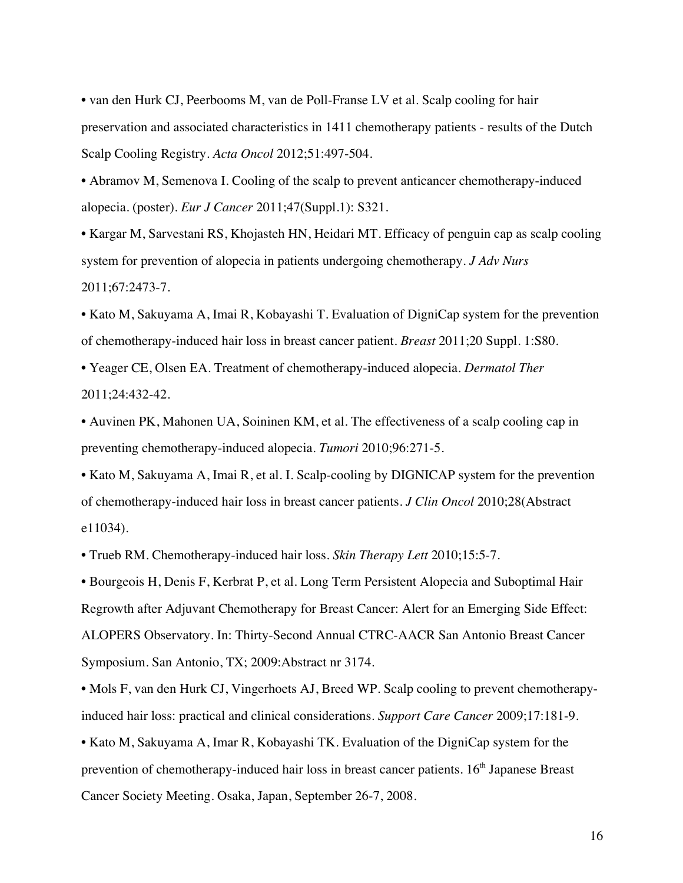• van den Hurk CJ, Peerbooms M, van de Poll-Franse LV et al. Scalp cooling for hair preservation and associated characteristics in 1411 chemotherapy patients - results of the Dutch Scalp Cooling Registry. *Acta Oncol* 2012;51:497-504.

• Abramov M, Semenova I. Cooling of the scalp to prevent anticancer chemotherapy-induced alopecia. (poster). *Eur J Cancer* 2011;47(Suppl.1): S321.

• Kargar M, Sarvestani RS, Khojasteh HN, Heidari MT. Efficacy of penguin cap as scalp cooling system for prevention of alopecia in patients undergoing chemotherapy. *J Adv Nurs* 2011;67:2473-7.

• Kato M, Sakuyama A, Imai R, Kobayashi T. Evaluation of DigniCap system for the prevention of chemotherapy-induced hair loss in breast cancer patient. *Breast* 2011;20 Suppl. 1:S80.

• Yeager CE, Olsen EA. Treatment of chemotherapy-induced alopecia. *Dermatol Ther* 2011;24:432-42.

• Auvinen PK, Mahonen UA, Soininen KM, et al. The effectiveness of a scalp cooling cap in preventing chemotherapy-induced alopecia. *Tumori* 2010;96:271-5.

• Kato M, Sakuyama A, Imai R, et al. I. Scalp-cooling by DIGNICAP system for the prevention of chemotherapy-induced hair loss in breast cancer patients. *J Clin Oncol* 2010;28(Abstract e11034).

• Trueb RM. Chemotherapy-induced hair loss. *Skin Therapy Lett* 2010;15:5-7.

• Bourgeois H, Denis F, Kerbrat P, et al. Long Term Persistent Alopecia and Suboptimal Hair Regrowth after Adjuvant Chemotherapy for Breast Cancer: Alert for an Emerging Side Effect: ALOPERS Observatory. In: Thirty-Second Annual CTRC-AACR San Antonio Breast Cancer Symposium. San Antonio, TX; 2009:Abstract nr 3174.

• Mols F, van den Hurk CJ, Vingerhoets AJ, Breed WP. Scalp cooling to prevent chemotherapyinduced hair loss: practical and clinical considerations. *Support Care Cancer* 2009;17:181-9.

• Kato M, Sakuyama A, Imar R, Kobayashi TK. Evaluation of the DigniCap system for the prevention of chemotherapy-induced hair loss in breast cancer patients. 16<sup>th</sup> Japanese Breast Cancer Society Meeting. Osaka, Japan, September 26-7, 2008.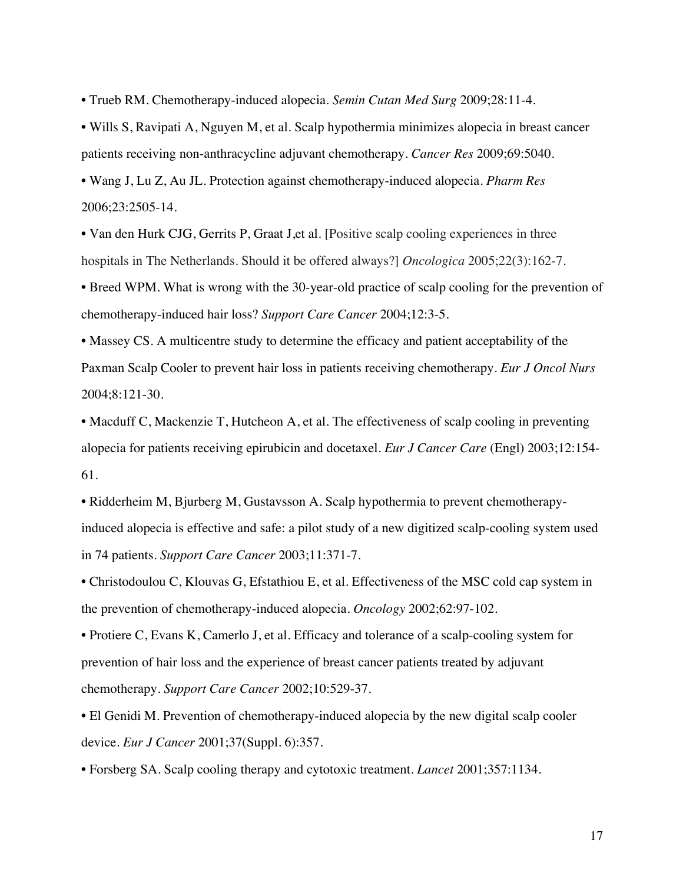• Trueb RM. Chemotherapy-induced alopecia. *Semin Cutan Med Surg* 2009;28:11-4.

• Wills S, Ravipati A, Nguyen M, et al. Scalp hypothermia minimizes alopecia in breast cancer patients receiving non-anthracycline adjuvant chemotherapy. *Cancer Res* 2009;69:5040.

• Wang J, Lu Z, Au JL. Protection against chemotherapy-induced alopecia. *Pharm Res* 2006;23:2505-14.

• Van den Hurk CJG, Gerrits P, Graat J, et al. [Positive scalp cooling experiences in three hospitals in The Netherlands. Should it be offered always?] *Oncologica* 2005;22(3):162-7.

• Breed WPM. What is wrong with the 30-year-old practice of scalp cooling for the prevention of chemotherapy-induced hair loss? *Support Care Cancer* 2004;12:3-5.

• Massey CS. A multicentre study to determine the efficacy and patient acceptability of the Paxman Scalp Cooler to prevent hair loss in patients receiving chemotherapy. *Eur J Oncol Nurs* 2004;8:121-30.

• Macduff C, Mackenzie T, Hutcheon A, et al. The effectiveness of scalp cooling in preventing alopecia for patients receiving epirubicin and docetaxel. *Eur J Cancer Care* (Engl) 2003;12:154- 61.

• Ridderheim M, Bjurberg M, Gustavsson A. Scalp hypothermia to prevent chemotherapyinduced alopecia is effective and safe: a pilot study of a new digitized scalp-cooling system used in 74 patients. *Support Care Cancer* 2003;11:371-7.

• Christodoulou C, Klouvas G, Efstathiou E, et al. Effectiveness of the MSC cold cap system in the prevention of chemotherapy-induced alopecia. *Oncology* 2002;62:97-102.

• Protiere C, Evans K, Camerlo J, et al. Efficacy and tolerance of a scalp-cooling system for prevention of hair loss and the experience of breast cancer patients treated by adjuvant chemotherapy. *Support Care Cancer* 2002;10:529-37.

• El Genidi M. Prevention of chemotherapy-induced alopecia by the new digital scalp cooler device. *Eur J Cancer* 2001;37(Suppl. 6):357.

• Forsberg SA. Scalp cooling therapy and cytotoxic treatment. *Lancet* 2001;357:1134.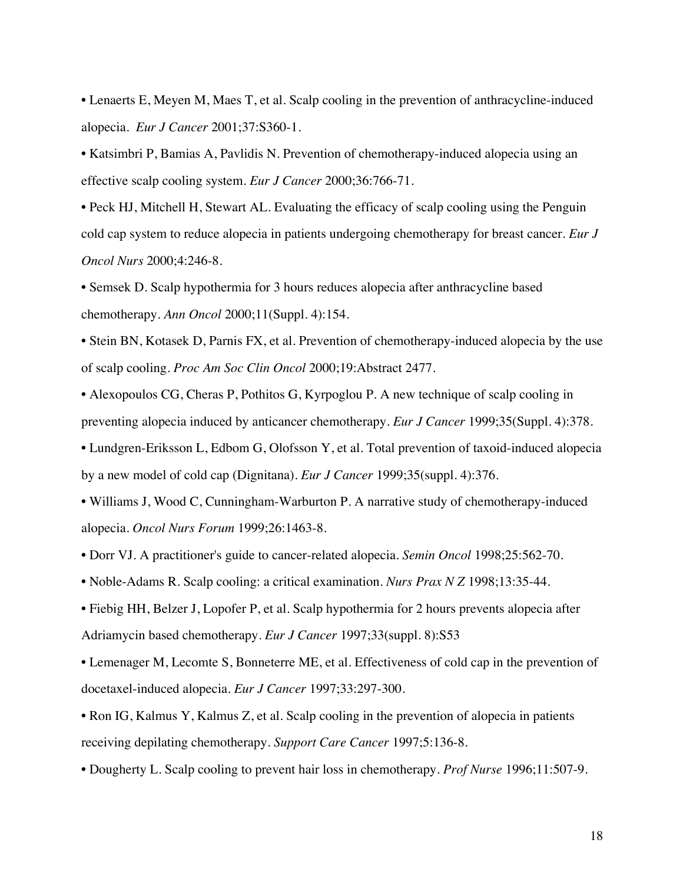• Lenaerts E, Meyen M, Maes T, et al. Scalp cooling in the prevention of anthracycline-induced alopecia. *Eur J Cancer* 2001;37:S360-1.

• Katsimbri P, Bamias A, Pavlidis N. Prevention of chemotherapy-induced alopecia using an effective scalp cooling system. *Eur J Cancer* 2000;36:766-71.

• Peck HJ, Mitchell H, Stewart AL. Evaluating the efficacy of scalp cooling using the Penguin cold cap system to reduce alopecia in patients undergoing chemotherapy for breast cancer. *Eur J Oncol Nurs* 2000;4:246-8.

• Semsek D. Scalp hypothermia for 3 hours reduces alopecia after anthracycline based chemotherapy. *Ann Oncol* 2000;11(Suppl. 4):154.

• Stein BN, Kotasek D, Parnis FX, et al. Prevention of chemotherapy-induced alopecia by the use of scalp cooling. *Proc Am Soc Clin Oncol* 2000;19:Abstract 2477.

• Alexopoulos CG, Cheras P, Pothitos G, Kyrpoglou P. A new technique of scalp cooling in preventing alopecia induced by anticancer chemotherapy. *Eur J Cancer* 1999;35(Suppl. 4):378.

• Lundgren-Eriksson L, Edbom G, Olofsson Y, et al. Total prevention of taxoid-induced alopecia by a new model of cold cap (Dignitana). *Eur J Cancer* 1999;35(suppl. 4):376.

• Williams J, Wood C, Cunningham-Warburton P. A narrative study of chemotherapy-induced alopecia. *Oncol Nurs Forum* 1999;26:1463-8.

• Dorr VJ. A practitioner's guide to cancer-related alopecia. *Semin Oncol* 1998;25:562-70.

• Noble-Adams R. Scalp cooling: a critical examination. *Nurs Prax N Z* 1998;13:35-44.

• Fiebig HH, Belzer J, Lopofer P, et al. Scalp hypothermia for 2 hours prevents alopecia after Adriamycin based chemotherapy. *Eur J Cancer* 1997;33(suppl. 8):S53

• Lemenager M, Lecomte S, Bonneterre ME, et al. Effectiveness of cold cap in the prevention of docetaxel-induced alopecia. *Eur J Cancer* 1997;33:297-300.

• Ron IG, Kalmus Y, Kalmus Z, et al. Scalp cooling in the prevention of alopecia in patients receiving depilating chemotherapy. *Support Care Cancer* 1997;5:136-8.

• Dougherty L. Scalp cooling to prevent hair loss in chemotherapy. *Prof Nurse* 1996;11:507-9.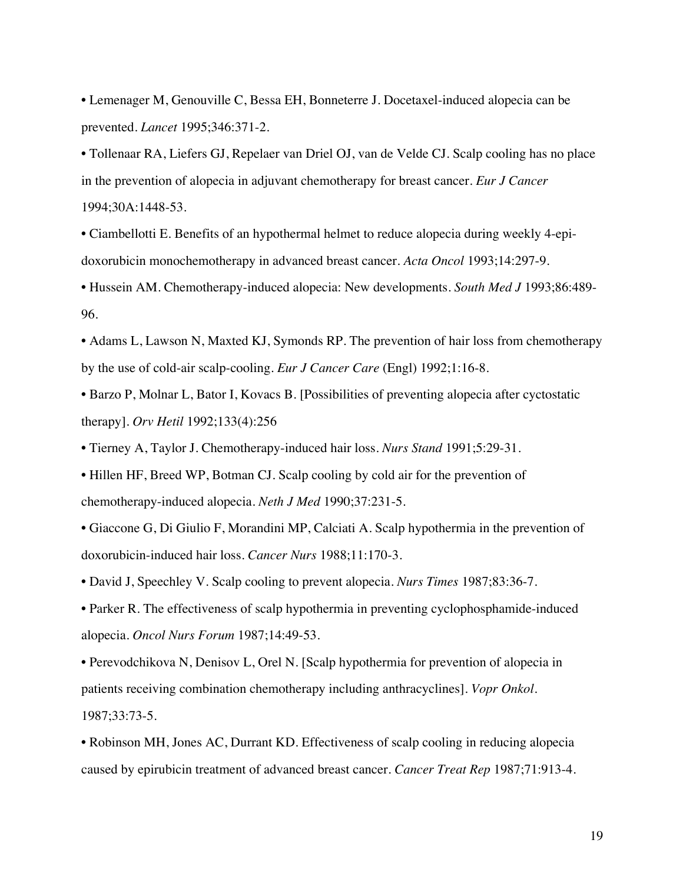• Lemenager M, Genouville C, Bessa EH, Bonneterre J. Docetaxel-induced alopecia can be prevented. *Lancet* 1995;346:371-2.

• Tollenaar RA, Liefers GJ, Repelaer van Driel OJ, van de Velde CJ. Scalp cooling has no place in the prevention of alopecia in adjuvant chemotherapy for breast cancer. *Eur J Cancer* 1994;30A:1448-53.

• Ciambellotti E. Benefits of an hypothermal helmet to reduce alopecia during weekly 4-epidoxorubicin monochemotherapy in advanced breast cancer. *Acta Oncol* 1993;14:297-9.

• Hussein AM. Chemotherapy-induced alopecia: New developments. *South Med J* 1993;86:489- 96.

• Adams L, Lawson N, Maxted KJ, Symonds RP. The prevention of hair loss from chemotherapy by the use of cold-air scalp-cooling. *Eur J Cancer Care* (Engl) 1992;1:16-8.

• Barzo P, Molnar L, Bator I, Kovacs B. [Possibilities of preventing alopecia after cyctostatic therapy]. *Orv Hetil* 1992;133(4):256

• Tierney A, Taylor J. Chemotherapy-induced hair loss. *Nurs Stand* 1991;5:29-31.

• Hillen HF, Breed WP, Botman CJ. Scalp cooling by cold air for the prevention of chemotherapy-induced alopecia. *Neth J Med* 1990;37:231-5.

• Giaccone G, Di Giulio F, Morandini MP, Calciati A. Scalp hypothermia in the prevention of doxorubicin-induced hair loss. *Cancer Nurs* 1988;11:170-3.

• David J, Speechley V. Scalp cooling to prevent alopecia. *Nurs Times* 1987;83:36-7.

• Parker R. The effectiveness of scalp hypothermia in preventing cyclophosphamide-induced alopecia. *Oncol Nurs Forum* 1987;14:49-53.

• Perevodchikova N, Denisov L, Orel N. [Scalp hypothermia for prevention of alopecia in patients receiving combination chemotherapy including anthracyclines]. *Vopr Onkol*. 1987;33:73-5.

• Robinson MH, Jones AC, Durrant KD. Effectiveness of scalp cooling in reducing alopecia caused by epirubicin treatment of advanced breast cancer. *Cancer Treat Rep* 1987;71:913-4.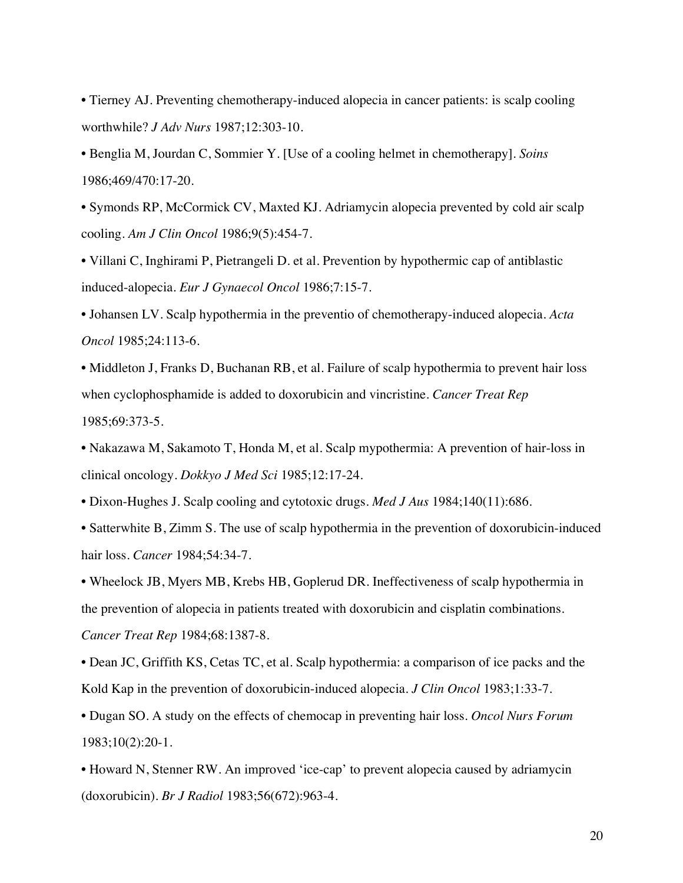• Tierney AJ. Preventing chemotherapy-induced alopecia in cancer patients: is scalp cooling worthwhile? *J Adv Nurs* 1987;12:303-10.

• Benglia M, Jourdan C, Sommier Y. [Use of a cooling helmet in chemotherapy]. *Soins* 1986;469/470:17-20.

• Symonds RP, McCormick CV, Maxted KJ. Adriamycin alopecia prevented by cold air scalp cooling. *Am J Clin Oncol* 1986;9(5):454-7.

• Villani C, Inghirami P, Pietrangeli D. et al. Prevention by hypothermic cap of antiblastic induced-alopecia. *Eur J Gynaecol Oncol* 1986;7:15-7.

• Johansen LV. Scalp hypothermia in the preventio of chemotherapy-induced alopecia. *Acta Oncol* 1985;24:113-6.

• Middleton J, Franks D, Buchanan RB, et al. Failure of scalp hypothermia to prevent hair loss when cyclophosphamide is added to doxorubicin and vincristine. *Cancer Treat Rep* 1985;69:373-5.

• Nakazawa M, Sakamoto T, Honda M, et al. Scalp mypothermia: A prevention of hair-loss in clinical oncology. *Dokkyo J Med Sci* 1985;12:17-24.

• Dixon-Hughes J. Scalp cooling and cytotoxic drugs. *Med J Aus* 1984;140(11):686.

• Satterwhite B, Zimm S. The use of scalp hypothermia in the prevention of doxorubicin-induced hair loss. *Cancer* 1984;54:34-7.

• Wheelock JB, Myers MB, Krebs HB, Goplerud DR. Ineffectiveness of scalp hypothermia in the prevention of alopecia in patients treated with doxorubicin and cisplatin combinations. *Cancer Treat Rep* 1984;68:1387-8.

• Dean JC, Griffith KS, Cetas TC, et al. Scalp hypothermia: a comparison of ice packs and the Kold Kap in the prevention of doxorubicin-induced alopecia. *J Clin Oncol* 1983;1:33-7.

• Dugan SO. A study on the effects of chemocap in preventing hair loss. *Oncol Nurs Forum* 1983;10(2):20-1.

• Howard N, Stenner RW. An improved 'ice-cap' to prevent alopecia caused by adriamycin (doxorubicin). *Br J Radiol* 1983;56(672):963-4.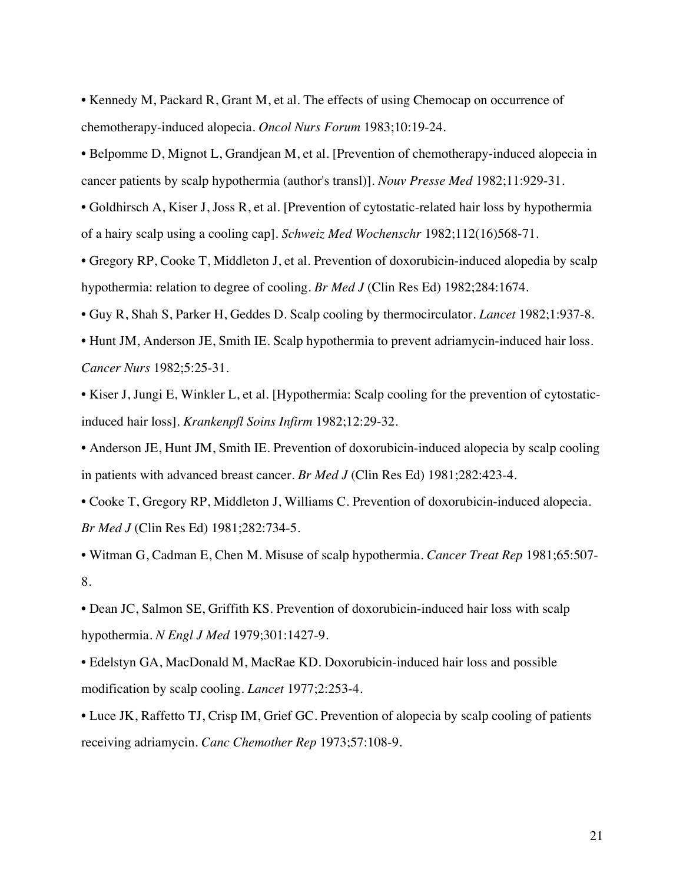• Kennedy M, Packard R, Grant M, et al. The effects of using Chemocap on occurrence of chemotherapy-induced alopecia. *Oncol Nurs Forum* 1983;10:19-24.

• Belpomme D, Mignot L, Grandjean M, et al. [Prevention of chemotherapy-induced alopecia in cancer patients by scalp hypothermia (author's transl)]. *Nouv Presse Med* 1982;11:929-31.

• Goldhirsch A, Kiser J, Joss R, et al. [Prevention of cytostatic-related hair loss by hypothermia of a hairy scalp using a cooling cap]. *Schweiz Med Wochenschr* 1982;112(16)568-71.

• Gregory RP, Cooke T, Middleton J, et al. Prevention of doxorubicin-induced alopedia by scalp hypothermia: relation to degree of cooling. *Br Med J* (Clin Res Ed) 1982;284:1674.

• Guy R, Shah S, Parker H, Geddes D. Scalp cooling by thermocirculator. *Lancet* 1982;1:937-8.

• Hunt JM, Anderson JE, Smith IE. Scalp hypothermia to prevent adriamycin-induced hair loss. *Cancer Nurs* 1982;5:25-31.

• Kiser J, Jungi E, Winkler L, et al. [Hypothermia: Scalp cooling for the prevention of cytostaticinduced hair loss]. *Krankenpfl Soins Infirm* 1982;12:29-32.

• Anderson JE, Hunt JM, Smith IE. Prevention of doxorubicin-induced alopecia by scalp cooling in patients with advanced breast cancer. *Br Med J* (Clin Res Ed) 1981;282:423-4.

• Cooke T, Gregory RP, Middleton J, Williams C. Prevention of doxorubicin-induced alopecia. *Br Med J* (Clin Res Ed) 1981;282:734-5.

• Witman G, Cadman E, Chen M. Misuse of scalp hypothermia. *Cancer Treat Rep* 1981;65:507- 8.

• Dean JC, Salmon SE, Griffith KS. Prevention of doxorubicin-induced hair loss with scalp hypothermia. *N Engl J Med* 1979;301:1427-9.

• Edelstyn GA, MacDonald M, MacRae KD. Doxorubicin-induced hair loss and possible modification by scalp cooling. *Lancet* 1977;2:253-4.

• Luce JK, Raffetto TJ, Crisp IM, Grief GC. Prevention of alopecia by scalp cooling of patients receiving adriamycin. *Canc Chemother Rep* 1973;57:108-9.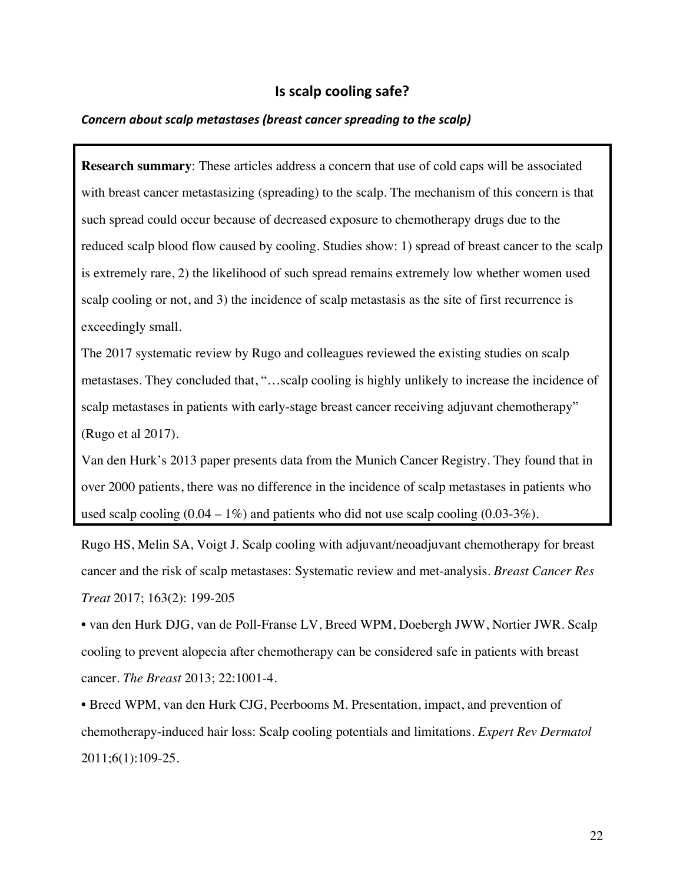## **Is scalp cooling safe?**

#### **Concern about scalp metastases (breast cancer spreading to the scalp)**

**Research summary**: These articles address a concern that use of cold caps will be associated with breast cancer metastasizing (spreading) to the scalp. The mechanism of this concern is that such spread could occur because of decreased exposure to chemotherapy drugs due to the reduced scalp blood flow caused by cooling. Studies show: 1) spread of breast cancer to the scalp is extremely rare, 2) the likelihood of such spread remains extremely low whether women used scalp cooling or not, and 3) the incidence of scalp metastasis as the site of first recurrence is exceedingly small.

The 2017 systematic review by Rugo and colleagues reviewed the existing studies on scalp metastases. They concluded that, "…scalp cooling is highly unlikely to increase the incidence of scalp metastases in patients with early-stage breast cancer receiving adjuvant chemotherapy" (Rugo et al 2017).

Van den Hurk's 2013 paper presents data from the Munich Cancer Registry. They found that in over 2000 patients, there was no difference in the incidence of scalp metastases in patients who used scalp cooling  $(0.04 - 1\%)$  and patients who did not use scalp cooling  $(0.03-3\%)$ .

Rugo HS, Melin SA, Voigt J. Scalp cooling with adjuvant/neoadjuvant chemotherapy for breast cancer and the risk of scalp metastases: Systematic review and met-analysis. *Breast Cancer Res Treat* 2017; 163(2): 199-205

• van den Hurk DJG, van de Poll-Franse LV, Breed WPM, Doebergh JWW, Nortier JWR. Scalp cooling to prevent alopecia after chemotherapy can be considered safe in patients with breast cancer. *The Breast* 2013; 22:1001-4.

• Breed WPM, van den Hurk CJG, Peerbooms M. Presentation, impact, and prevention of chemotherapy-induced hair loss: Scalp cooling potentials and limitations. *Expert Rev Dermatol* 2011;6(1):109-25.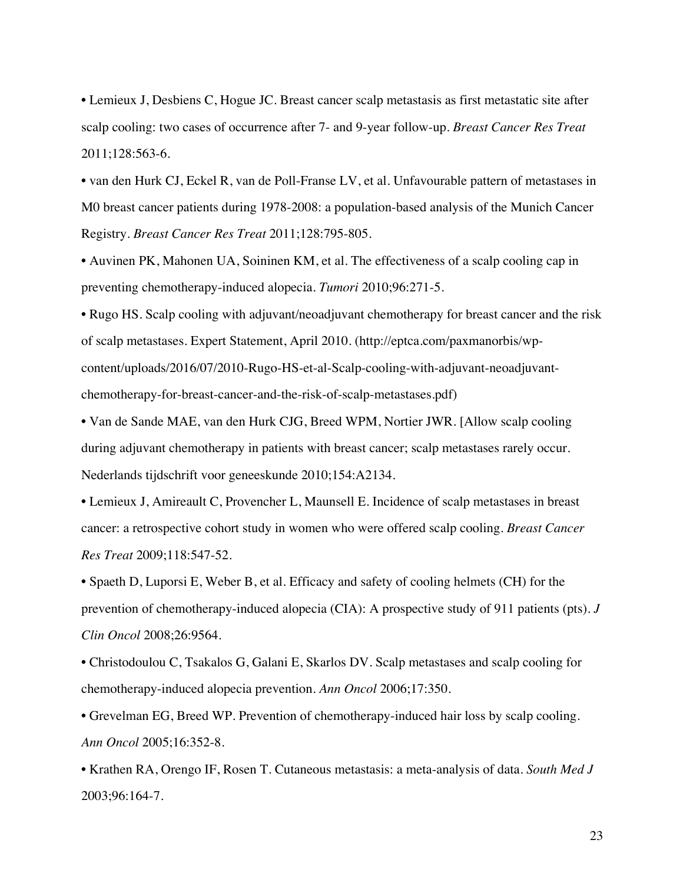• Lemieux J, Desbiens C, Hogue JC. Breast cancer scalp metastasis as first metastatic site after scalp cooling: two cases of occurrence after 7- and 9-year follow-up. *Breast Cancer Res Treat* 2011;128:563-6.

• van den Hurk CJ, Eckel R, van de Poll-Franse LV, et al. Unfavourable pattern of metastases in M0 breast cancer patients during 1978-2008: a population-based analysis of the Munich Cancer Registry. *Breast Cancer Res Treat* 2011;128:795-805.

• Auvinen PK, Mahonen UA, Soininen KM, et al. The effectiveness of a scalp cooling cap in preventing chemotherapy-induced alopecia. *Tumori* 2010;96:271-5.

• Rugo HS. Scalp cooling with adjuvant/neoadjuvant chemotherapy for breast cancer and the risk of scalp metastases. Expert Statement, April 2010. (http://eptca.com/paxmanorbis/wpcontent/uploads/2016/07/2010-Rugo-HS-et-al-Scalp-cooling-with-adjuvant-neoadjuvantchemotherapy-for-breast-cancer-and-the-risk-of-scalp-metastases.pdf)

• Van de Sande MAE, van den Hurk CJG, Breed WPM, Nortier JWR. [Allow scalp cooling during adjuvant chemotherapy in patients with breast cancer; scalp metastases rarely occur. Nederlands tijdschrift voor geneeskunde 2010;154:A2134.

• Lemieux J, Amireault C, Provencher L, Maunsell E. Incidence of scalp metastases in breast cancer: a retrospective cohort study in women who were offered scalp cooling. *Breast Cancer Res Treat* 2009;118:547-52.

• Spaeth D, Luporsi E, Weber B, et al. Efficacy and safety of cooling helmets (CH) for the prevention of chemotherapy-induced alopecia (CIA): A prospective study of 911 patients (pts). *J Clin Oncol* 2008;26:9564.

• Christodoulou C, Tsakalos G, Galani E, Skarlos DV. Scalp metastases and scalp cooling for chemotherapy-induced alopecia prevention. *Ann Oncol* 2006;17:350.

• Grevelman EG, Breed WP. Prevention of chemotherapy-induced hair loss by scalp cooling. *Ann Oncol* 2005;16:352-8.

• Krathen RA, Orengo IF, Rosen T. Cutaneous metastasis: a meta-analysis of data. *South Med J* 2003;96:164-7.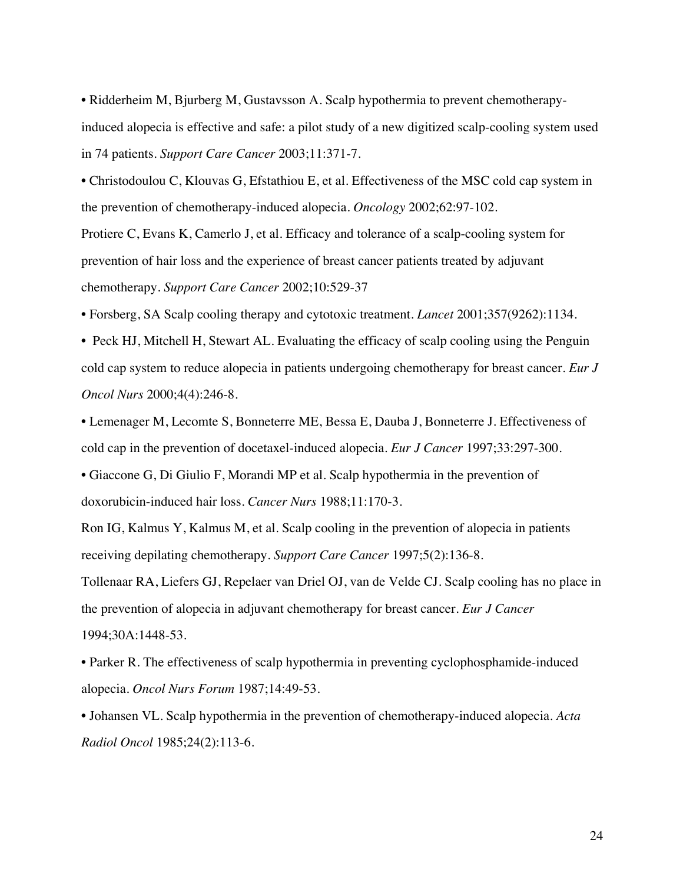• Ridderheim M, Bjurberg M, Gustavsson A. Scalp hypothermia to prevent chemotherapyinduced alopecia is effective and safe: a pilot study of a new digitized scalp-cooling system used in 74 patients. *Support Care Cancer* 2003;11:371-7.

• Christodoulou C, Klouvas G, Efstathiou E, et al. Effectiveness of the MSC cold cap system in the prevention of chemotherapy-induced alopecia. *Oncology* 2002;62:97-102.

Protiere C, Evans K, Camerlo J, et al. Efficacy and tolerance of a scalp-cooling system for prevention of hair loss and the experience of breast cancer patients treated by adjuvant chemotherapy. *Support Care Cancer* 2002;10:529-37

• Forsberg, SA Scalp cooling therapy and cytotoxic treatment. *Lancet* 2001;357(9262):1134.

• Peck HJ, Mitchell H, Stewart AL. Evaluating the efficacy of scalp cooling using the Penguin cold cap system to reduce alopecia in patients undergoing chemotherapy for breast cancer. *Eur J Oncol Nurs* 2000;4(4):246-8.

• Lemenager M, Lecomte S, Bonneterre ME, Bessa E, Dauba J, Bonneterre J. Effectiveness of cold cap in the prevention of docetaxel-induced alopecia. *Eur J Cancer* 1997;33:297-300.

• Giaccone G, Di Giulio F, Morandi MP et al. Scalp hypothermia in the prevention of doxorubicin-induced hair loss. *Cancer Nurs* 1988;11:170-3.

Ron IG, Kalmus Y, Kalmus M, et al. Scalp cooling in the prevention of alopecia in patients receiving depilating chemotherapy. *Support Care Cancer* 1997;5(2):136-8.

Tollenaar RA, Liefers GJ, Repelaer van Driel OJ, van de Velde CJ. Scalp cooling has no place in the prevention of alopecia in adjuvant chemotherapy for breast cancer. *Eur J Cancer* 1994;30A:1448-53.

• Parker R. The effectiveness of scalp hypothermia in preventing cyclophosphamide-induced alopecia. *Oncol Nurs Forum* 1987;14:49-53.

• Johansen VL. Scalp hypothermia in the prevention of chemotherapy-induced alopecia. *Acta Radiol Oncol* 1985;24(2):113-6.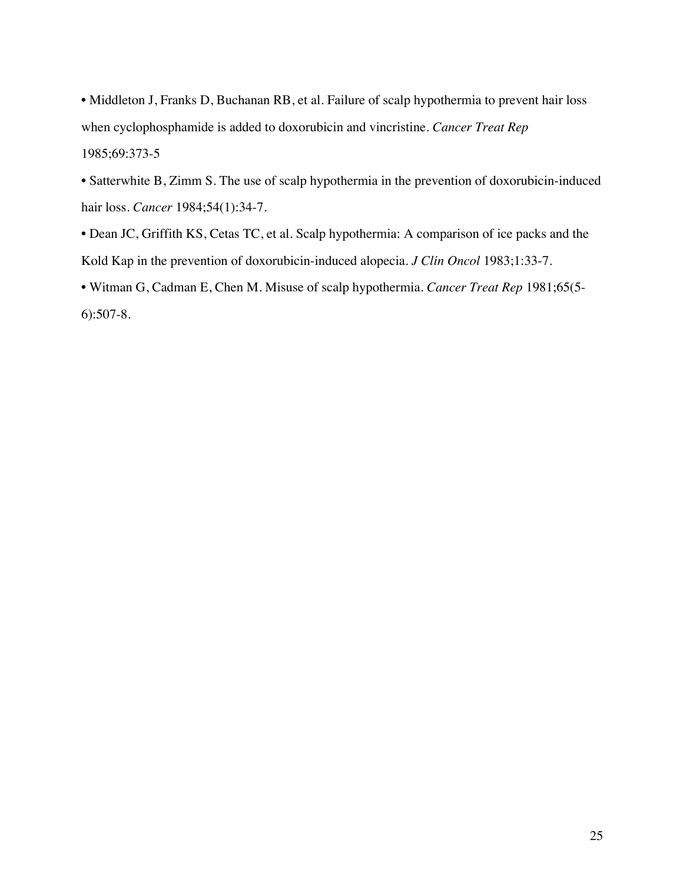• Middleton J, Franks D, Buchanan RB, et al. Failure of scalp hypothermia to prevent hair loss when cyclophosphamide is added to doxorubicin and vincristine. *Cancer Treat Rep* 1985;69:373-5

• Satterwhite B, Zimm S. The use of scalp hypothermia in the prevention of doxorubicin-induced hair loss. *Cancer* 1984;54(1):34-7.

• Dean JC, Griffith KS, Cetas TC, et al. Scalp hypothermia: A comparison of ice packs and the Kold Kap in the prevention of doxorubicin-induced alopecia. *J Clin Oncol* 1983;1:33-7.

• Witman G, Cadman E, Chen M. Misuse of scalp hypothermia. *Cancer Treat Rep* 1981;65(5- 6):507-8.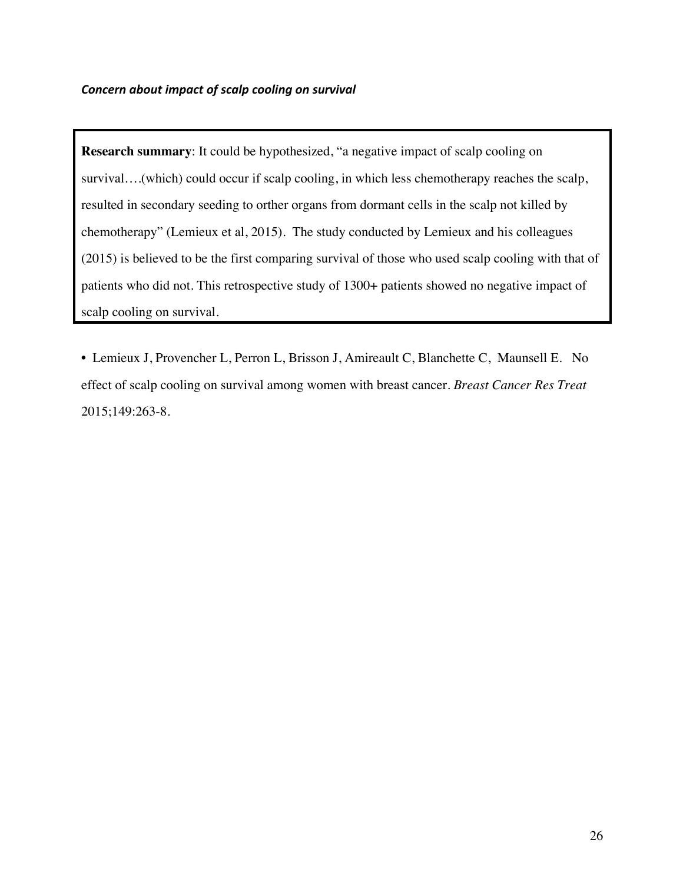**Research summary**: It could be hypothesized, "a negative impact of scalp cooling on survival….(which) could occur if scalp cooling, in which less chemotherapy reaches the scalp, resulted in secondary seeding to orther organs from dormant cells in the scalp not killed by chemotherapy" (Lemieux et al, 2015). The study conducted by Lemieux and his colleagues (2015) is believed to be the first comparing survival of those who used scalp cooling with that of patients who did not. This retrospective study of 1300+ patients showed no negative impact of scalp cooling on survival.

• Lemieux J, Provencher L, Perron L, Brisson J, Amireault C, Blanchette C, Maunsell E. No effect of scalp cooling on survival among women with breast cancer. *Breast Cancer Res Treat* 2015;149:263-8.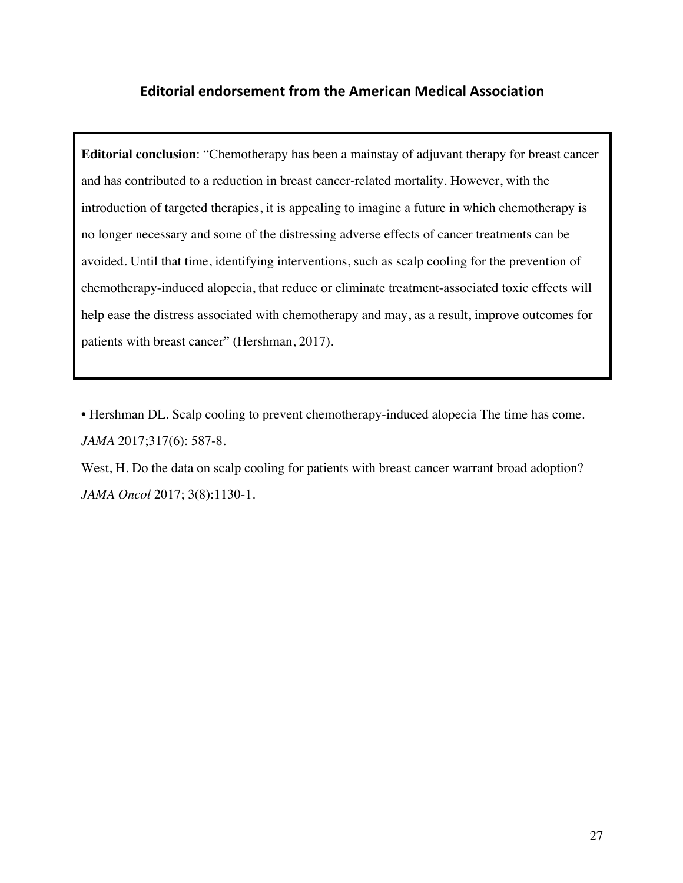# **Editorial endorsement from the American Medical Association**

**Editorial conclusion**: "Chemotherapy has been a mainstay of adjuvant therapy for breast cancer and has contributed to a reduction in breast cancer-related mortality. However, with the introduction of targeted therapies, it is appealing to imagine a future in which chemotherapy is no longer necessary and some of the distressing adverse effects of cancer treatments can be avoided. Until that time, identifying interventions, such as scalp cooling for the prevention of chemotherapy-induced alopecia, that reduce or eliminate treatment-associated toxic effects will help ease the distress associated with chemotherapy and may, as a result, improve outcomes for patients with breast cancer" (Hershman, 2017).

• Hershman DL. Scalp cooling to prevent chemotherapy-induced alopecia The time has come. *JAMA* 2017;317(6): 587-8.

West, H. Do the data on scalp cooling for patients with breast cancer warrant broad adoption? *JAMA Oncol* 2017; 3(8):1130-1.